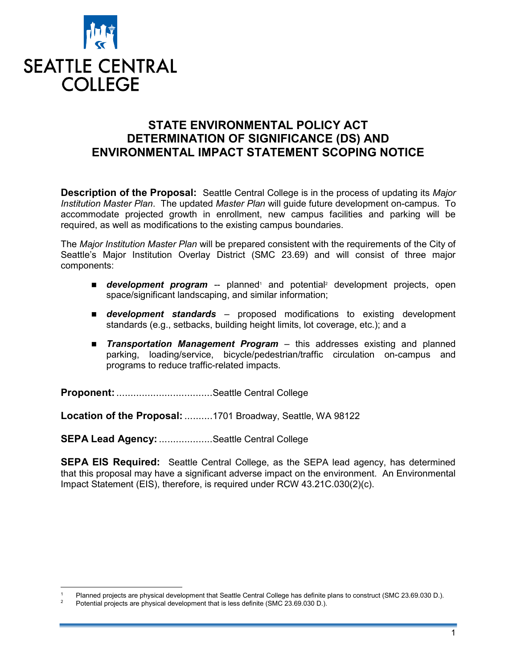

## STATE ENVIRONMENTAL POLICY ACT DETERMINATION OF SIGNIFICANCE (DS) AND ENVIRONMENTAL IMPACT STATEMENT SCOPING NOTICE

**Description of the Proposal:** Seattle Central College is in the process of updating its *Major* Institution Master Plan. The updated Master Plan will guide future development on-campus. To accommodate projected growth in enrollment, new campus facilities and parking will be required, as well as modifications to the existing campus boundaries.

The Major Institution Master Plan will be prepared consistent with the requirements of the City of Seattle's Major Institution Overlay District (SMC 23.69) and will consist of three major components:

- **development program** -- planned<sup>1</sup> and potential<sup>2</sup> development projects, open space/significant landscaping, and similar information;
- **development standards** proposed modifications to existing development standards (e.g., setbacks, building height limits, lot coverage, etc.); and a
- **Transportation Management Program** this addresses existing and planned parking, loading/service, bicycle/pedestrian/traffic circulation on-campus and programs to reduce traffic-related impacts.

Proponent: ...................................Seattle Central College

Location of the Proposal: ..........1701 Broadway, Seattle, WA 98122

SEPA Lead Agency: ...................Seattle Central College

**SEPA EIS Required:** Seattle Central College, as the SEPA lead agency, has determined that this proposal may have a significant adverse impact on the environment. An Environmental Impact Statement (EIS), therefore, is required under RCW 43.21C.030(2)(c).

 $\overline{a}$ 1 Planned projects are physical development that Seattle Central College has definite plans to construct (SMC 23.69.030 D.).

<sup>2</sup> Potential projects are physical development that is less definite (SMC 23.69.030 D.).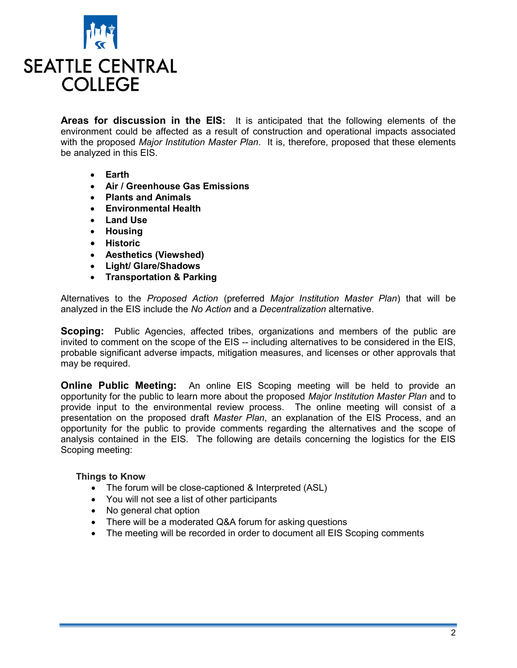

Areas for discussion in the EIS: It is anticipated that the following elements of the environment could be affected as a result of construction and operational impacts associated with the proposed Major Institution Master Plan. It is, therefore, proposed that these elements be analyzed in this EIS.

- Earth
- Air / Greenhouse Gas Emissions
- Plants and Animals
- Environmental Health
- Land Use
- Housing
- Historic
- Aesthetics (Viewshed)
- Light/ Glare/Shadows
- Transportation & Parking

Alternatives to the Proposed Action (preferred Major Institution Master Plan) that will be analyzed in the EIS include the No Action and a Decentralization alternative.

**Scoping:** Public Agencies, affected tribes, organizations and members of the public are invited to comment on the scope of the EIS -- including alternatives to be considered in the EIS, probable significant adverse impacts, mitigation measures, and licenses or other approvals that may be required.

**Online Public Meeting:** An online EIS Scoping meeting will be held to provide an opportunity for the public to learn more about the proposed Major Institution Master Plan and to provide input to the environmental review process. The online meeting will consist of a presentation on the proposed draft Master Plan, an explanation of the EIS Process, and an opportunity for the public to provide comments regarding the alternatives and the scope of analysis contained in the EIS. The following are details concerning the logistics for the EIS Scoping meeting:

## Things to Know

- The forum will be close-captioned & Interpreted (ASL)
- You will not see a list of other participants
- No general chat option
- There will be a moderated Q&A forum for asking questions
- The meeting will be recorded in order to document all EIS Scoping comments